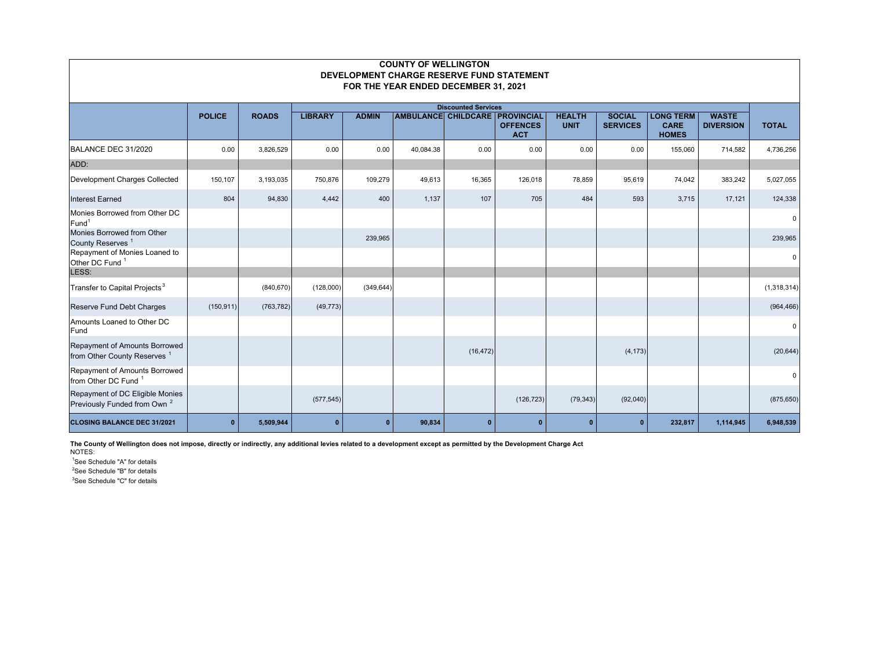| <b>COUNTY OF WELLINGTON</b><br>DEVELOPMENT CHARGE RESERVE FUND STATEMENT   |                                                              |              |                |              |           |              |                               |                              |                                  |                                                 |                                  |              |
|----------------------------------------------------------------------------|--------------------------------------------------------------|--------------|----------------|--------------|-----------|--------------|-------------------------------|------------------------------|----------------------------------|-------------------------------------------------|----------------------------------|--------------|
|                                                                            | FOR THE YEAR ENDED DECEMBER 31, 2021                         |              |                |              |           |              |                               |                              |                                  |                                                 |                                  |              |
|                                                                            | <b>Discounted Services</b><br>AMBULANCE CHILDCARE PROVINCIAL |              |                |              |           |              |                               |                              |                                  |                                                 |                                  |              |
|                                                                            | <b>POLICE</b>                                                | <b>ROADS</b> | <b>LIBRARY</b> | <b>ADMIN</b> |           |              | <b>OFFENCES</b><br><b>ACT</b> | <b>HEALTH</b><br><b>UNIT</b> | <b>SOCIAL</b><br><b>SERVICES</b> | <b>LONG TERM</b><br><b>CARE</b><br><b>HOMES</b> | <b>WASTE</b><br><b>DIVERSION</b> | <b>TOTAL</b> |
| BALANCE DEC 31/2020                                                        | 0.00                                                         | 3,826,529    | 0.00           | 0.00         | 40,084.38 | 0.00         | 0.00                          | 0.00                         | 0.00                             | 155,060                                         | 714,582                          | 4,736,256    |
| ADD:                                                                       |                                                              |              |                |              |           |              |                               |                              |                                  |                                                 |                                  |              |
| Development Charges Collected                                              | 150,107                                                      | 3,193,035    | 750,876        | 109,279      | 49,613    | 16,365       | 126,018                       | 78,859                       | 95,619                           | 74,042                                          | 383,242                          | 5,027,055    |
| <b>Interest Earned</b>                                                     | 804                                                          | 94,830       | 4,442          | 400          | 1,137     | 107          | 705                           | 484                          | 593                              | 3,715                                           | 17,121                           | 124,338      |
| Monies Borrowed from Other DC<br>Fund <sup>1</sup>                         |                                                              |              |                |              |           |              |                               |                              |                                  |                                                 |                                  | $\mathbf 0$  |
| Monies Borrowed from Other<br>County Reserves <sup>1</sup>                 |                                                              |              |                | 239,965      |           |              |                               |                              |                                  |                                                 |                                  | 239,965      |
| Repayment of Monies Loaned to<br>Other DC Fund <sup>1</sup>                |                                                              |              |                |              |           |              |                               |                              |                                  |                                                 |                                  | $\mathbf 0$  |
| LESS:                                                                      |                                                              |              |                |              |           |              |                               |                              |                                  |                                                 |                                  |              |
| Transfer to Capital Projects <sup>3</sup>                                  |                                                              | (840, 670)   | (128,000)      | (349, 644)   |           |              |                               |                              |                                  |                                                 |                                  | (1,318,314)  |
| Reserve Fund Debt Charges                                                  | (150, 911)                                                   | (763, 782)   | (49, 773)      |              |           |              |                               |                              |                                  |                                                 |                                  | (964, 466)   |
| Amounts Loaned to Other DC<br>Fund                                         |                                                              |              |                |              |           |              |                               |                              |                                  |                                                 |                                  | 0            |
| Repayment of Amounts Borrowed<br>from Other County Reserves <sup>1</sup>   |                                                              |              |                |              |           | (16, 472)    |                               |                              | (4, 173)                         |                                                 |                                  | (20, 644)    |
| Repayment of Amounts Borrowed<br>from Other DC Fund <sup>1</sup>           |                                                              |              |                |              |           |              |                               |                              |                                  |                                                 |                                  | $\mathbf 0$  |
| Repayment of DC Eligible Monies<br>Previously Funded from Own <sup>2</sup> |                                                              |              | (577, 545)     |              |           |              | (126, 723)                    | (79, 343)                    | (92,040)                         |                                                 |                                  | (875, 650)   |
| <b>CLOSING BALANCE DEC 31/2021</b>                                         | $\mathbf{0}$                                                 | 5,509,944    | $\mathbf{0}$   | $\mathbf{0}$ | 90,834    | $\mathbf{0}$ | $\mathbf{0}$                  | $\mathbf{0}$                 | $\mathbf{0}$                     | 232,817                                         | 1,114,945                        | 6,948,539    |

**The County of Wellington does not impose, directly or indirectly, any additional levies related to a development except as permitted by the Development Charge Act** NOTES:

<sup>1</sup>See Schedule "A" for details

<sup>2</sup>See Schedule "B" for details

<sup>3</sup>See Schedule "C" for details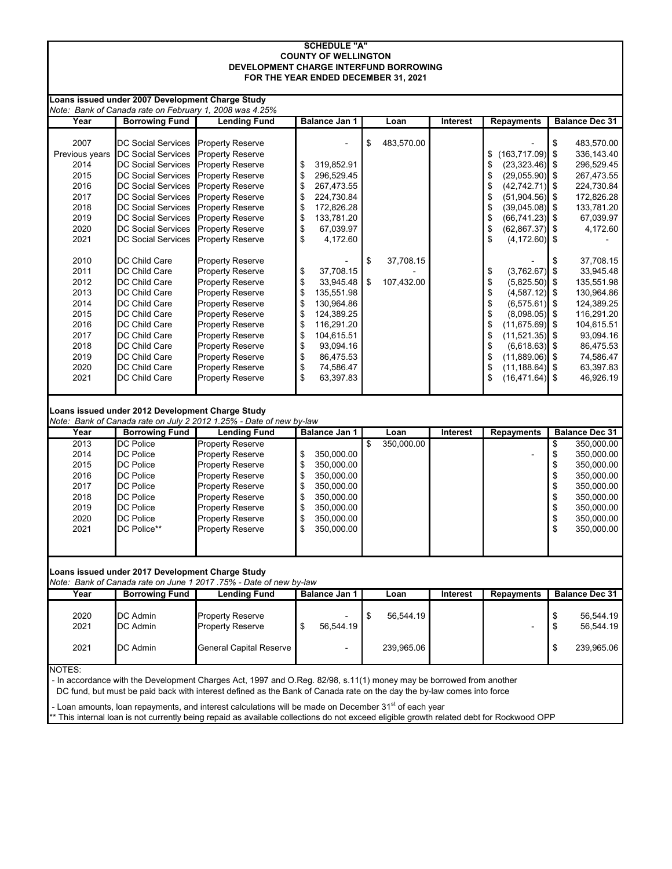## **SCHEDULE "A" COUNTY OF WELLINGTON DEVELOPMENT CHARGE INTERFUND BORROWING FOR THE YEAR ENDED DECEMBER 31, 2021**

|                | Loans issued under 2007 Development Charge Study | Note: Bank of Canada rate on February 1, 2008 was 4.25%             |                       |                  |          |                          |                       |
|----------------|--------------------------------------------------|---------------------------------------------------------------------|-----------------------|------------------|----------|--------------------------|-----------------------|
| Year           | <b>Borrowing Fund</b>                            | <b>Lending Fund</b>                                                 | <b>Balance Jan 1</b>  | Loan             | Interest | <b>Repayments</b>        | <b>Balance Dec 31</b> |
|                |                                                  |                                                                     |                       |                  |          |                          |                       |
| 2007           | <b>DC Social Services</b>                        | <b>Property Reserve</b>                                             |                       | \$<br>483,570.00 |          |                          | \$<br>483,570.00      |
| Previous years | <b>DC Social Services</b>                        | <b>Property Reserve</b>                                             |                       |                  |          | (163, 717.09)<br>\$      | \$<br>336, 143.40     |
| 2014           | <b>DC Social Services</b>                        | <b>Property Reserve</b>                                             | \$<br>319,852.91      |                  |          | \$<br>(23, 323.46)       | \$<br>296,529.45      |
| 2015           | DC Social Services                               | <b>Property Reserve</b>                                             | \$<br>296,529.45      |                  |          | \$<br>(29,055.90)        | \$<br>267,473.55      |
| 2016           | <b>DC Social Services</b>                        | <b>Property Reserve</b>                                             | \$<br>267,473.55      |                  |          | \$<br>(42, 742.71)       | \$<br>224,730.84      |
| 2017           | DC Social Services                               | <b>Property Reserve</b>                                             | \$<br>224,730.84      |                  |          | \$<br>(51,904.56)        | \$<br>172,826.28      |
| 2018           | DC Social Services                               | <b>Property Reserve</b>                                             | \$<br>172,826.28      |                  |          | \$<br>(39,045.08)        | \$<br>133,781.20      |
| 2019           | <b>DC Social Services</b>                        | Property Reserve                                                    | \$<br>133,781.20      |                  |          | \$<br>(66, 741.23)       | \$<br>67,039.97       |
| 2020           | DC Social Services                               | <b>Property Reserve</b>                                             | \$<br>67,039.97       |                  |          | \$<br>(62, 867.37)       | \$<br>4,172.60        |
| 2021           | <b>DC Social Services</b>                        | <b>Property Reserve</b>                                             | \$<br>4,172.60        |                  |          | \$<br>(4, 172.60)        | \$                    |
| 2010           | DC Child Care                                    | <b>Property Reserve</b>                                             |                       | \$<br>37,708.15  |          |                          | \$<br>37,708.15       |
| 2011           | DC Child Care                                    | <b>Property Reserve</b>                                             | 37,708.15             |                  |          | (3,762.67)               | \$<br>33,945.48       |
|                |                                                  |                                                                     | \$                    |                  |          | \$                       |                       |
| 2012<br>2013   | DC Child Care                                    | <b>Property Reserve</b>                                             | \$<br>33,945.48       | \$<br>107,432.00 |          | \$<br>(5,825.50)         | \$<br>135,551.98      |
|                | DC Child Care                                    | <b>Property Reserve</b>                                             | \$<br>135,551.98      |                  |          | \$<br>(4, 587.12)        | \$<br>130,964.86      |
| 2014           | DC Child Care                                    | <b>Property Reserve</b>                                             | \$<br>130,964.86      |                  |          | \$<br>(6, 575.61)        | \$<br>124,389.25      |
| 2015           | DC Child Care                                    | <b>Property Reserve</b>                                             | \$<br>124,389.25      |                  |          | \$<br>(8,098.05)         | \$<br>116,291.20      |
| 2016           | DC Child Care                                    | <b>Property Reserve</b>                                             | \$<br>116,291.20      |                  |          | \$<br>(11, 675.69)       | \$<br>104,615.51      |
| 2017           | DC Child Care                                    | <b>Property Reserve</b>                                             | \$<br>104,615.51      |                  |          | \$<br>(11, 521.35)       | \$<br>93,094.16       |
| 2018           | DC Child Care                                    | <b>Property Reserve</b>                                             | \$<br>93,094.16       |                  |          | \$<br>(6,618.63)         | \$<br>86,475.53       |
| 2019           | DC Child Care                                    | <b>Property Reserve</b>                                             | \$<br>86,475.53       |                  |          | \$<br>(11,889.06)        | \$<br>74,586.47       |
| 2020<br>2021   | DC Child Care<br>DC Child Care                   | <b>Property Reserve</b>                                             | \$<br>74,586.47<br>\$ |                  |          | \$<br>(11, 188.64)<br>\$ | \$<br>63,397.83       |
|                |                                                  | <b>Property Reserve</b>                                             | 63,397.83             |                  |          | (16, 471.64)             | \$<br>46,926.19       |
|                | Loans issued under 2012 Development Charge Study |                                                                     |                       |                  |          |                          |                       |
|                |                                                  | Note: Bank of Canada rate on July 2 2012 1.25% - Date of new by-law |                       |                  |          |                          |                       |
| Year           | <b>Borrowing Fund</b>                            | <b>Lending Fund</b>                                                 | Balance Jan 1         | Loan             | Interest | <b>Repayments</b>        | <b>Balance Dec 31</b> |
| 2013           | <b>DC Police</b>                                 | <b>Property Reserve</b>                                             |                       | \$<br>350,000.00 |          |                          | \$<br>350,000.00      |
| 2014           | <b>DC Police</b>                                 | <b>Property Reserve</b>                                             | \$<br>350,000.00      |                  |          |                          | \$<br>350,000.00      |
| 2015           | DC Police                                        | <b>Property Reserve</b>                                             | \$<br>350,000.00      |                  |          |                          | \$<br>350,000.00      |
| 2016           | <b>DC Police</b>                                 | <b>Property Reserve</b>                                             | \$<br>350,000.00      |                  |          |                          | \$<br>350,000.00      |
| 2017           | DC Police                                        | <b>Property Reserve</b>                                             | \$<br>350,000.00      |                  |          |                          | \$<br>350,000.00      |
| 2018           | DC Police                                        | <b>Property Reserve</b>                                             | \$<br>350,000.00      |                  |          |                          | \$<br>350,000.00      |
| 2019           | <b>DC Police</b>                                 | <b>Property Reserve</b>                                             | \$<br>350,000.00      |                  |          |                          | \$<br>350,000.00      |
| 2020           | <b>DC Police</b>                                 | <b>Property Reserve</b>                                             | \$<br>350,000.00      |                  |          |                          | \$<br>350,000.00      |
| 2021           | DC Police**                                      | Property Reserve                                                    | \$<br>350,000.00      |                  |          |                          | \$<br>350,000.00      |
|                |                                                  |                                                                     |                       |                  |          |                          |                       |
|                |                                                  |                                                                     |                       |                  |          |                          |                       |
|                |                                                  |                                                                     |                       |                  |          |                          |                       |
|                | Loans issued under 2017 Development Charge Study |                                                                     |                       |                  |          |                          |                       |
|                |                                                  | Note: Bank of Canada rate on June 1 2017 .75% - Date of new by-law  |                       |                  |          |                          |                       |
| Year           | <b>Borrowing Fund</b>                            | <b>Lending Fund</b>                                                 | <b>Balance Jan 1</b>  | Loan             | Interest | <b>Repayments</b>        | <b>Balance Dec 31</b> |
|                |                                                  |                                                                     |                       |                  |          |                          |                       |
| 2020           | DC Admin                                         | <b>Property Reserve</b>                                             |                       | \$<br>56,544.19  |          |                          | \$<br>56,544.19       |
| 2021           | DC Admin                                         | Property Reserve                                                    | 56,544.19<br>\$       |                  |          |                          | \$<br>56,544.19       |
|                |                                                  |                                                                     |                       |                  |          |                          |                       |
| 2021           | DC Admin                                         | General Capital Reserve                                             |                       | 239,965.06       |          |                          | \$<br>239,965.06      |
| NOTES:         |                                                  |                                                                     |                       |                  |          |                          |                       |

dance with the Development Charges Act, 1997 and O.Reg. 82/98, s.11(1) money may be borrowed from another DC fund, but must be paid back with interest defined as the Bank of Canada rate on the day the by-law comes into force

- Loan amounts, loan repayments, and interest calculations will be made on December 31<sup>st</sup> of each year

\*\* This internal loan is not currently being repaid as available collections do not exceed eligible growth related debt for Rockwood OPP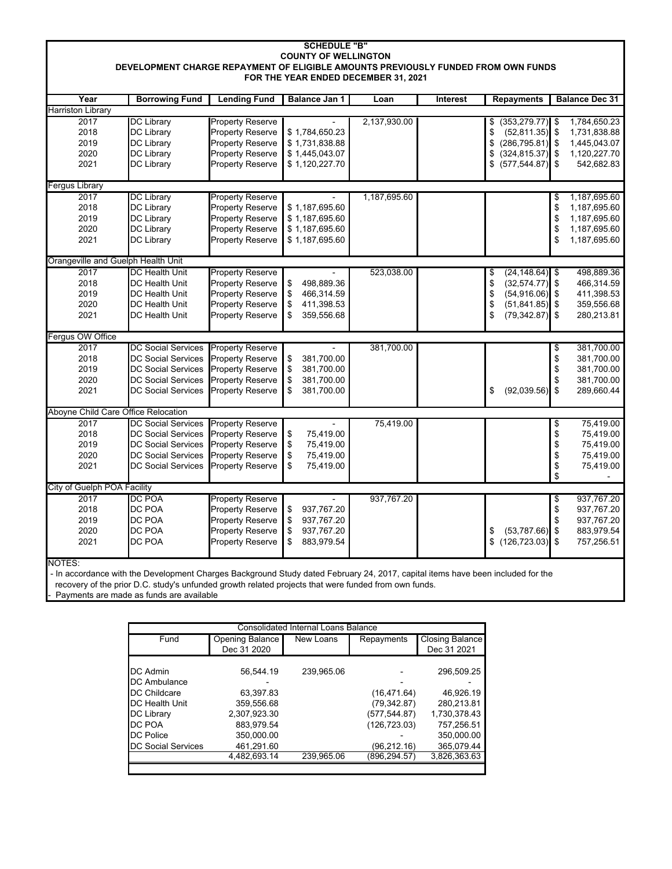## **SCHEDULE "B" COUNTY OF WELLINGTON DEVELOPMENT CHARGE REPAYMENT OF ELIGIBLE AMOUNTS PREVIOUSLY FUNDED FROM OWN FUNDS FOR THE YEAR ENDED DECEMBER 31, 2021**

| Year                                | <b>Borrowing Fund</b>     | <b>Lending Fund</b>     | <b>Balance Jan 1</b> | Loan         | <b>Interest</b> | <b>Repayments</b>        | <b>Balance Dec 31</b>                   |
|-------------------------------------|---------------------------|-------------------------|----------------------|--------------|-----------------|--------------------------|-----------------------------------------|
| <b>Harriston Library</b>            |                           |                         |                      |              |                 |                          |                                         |
| 2017                                | <b>DC Library</b>         | <b>Property Reserve</b> |                      | 2,137,930.00 |                 | (353, 279.77)<br>\$      | 1,784,650.23<br>$\sqrt{3}$              |
| 2018                                | <b>DC Library</b>         | <b>Property Reserve</b> | \$1,784,650.23       |              |                 | \$<br>(52, 811.35)       | $\sqrt[6]{\frac{1}{2}}$<br>1,731,838.88 |
| 2019                                | <b>DC Library</b>         | <b>Property Reserve</b> | \$1,731,838.88       |              |                 | \$<br>(286, 795.81)      | $\sqrt{2}$<br>1,445,043.07              |
| 2020                                | DC Library                | <b>Property Reserve</b> | \$1,445,043.07       |              |                 | (324, 815.37)<br>\$      | \$<br>1,120,227.70                      |
| 2021                                | <b>DC Library</b>         | <b>Property Reserve</b> | \$1,120,227.70       |              |                 | \$<br>(577, 544.87)      | \$<br>542,682.83                        |
|                                     |                           |                         |                      |              |                 |                          |                                         |
| <b>Fergus Library</b>               |                           |                         |                      |              |                 |                          |                                         |
| 2017                                | <b>DC Library</b>         | <b>Property Reserve</b> |                      | 1,187,695.60 |                 |                          | 1,187,695.60<br>\$                      |
| 2018                                | <b>DC Library</b>         | <b>Property Reserve</b> | \$1,187,695.60       |              |                 |                          | \$<br>1,187,695.60                      |
| 2019                                | <b>DC Library</b>         | <b>Property Reserve</b> | \$1,187,695.60       |              |                 |                          | \$<br>1,187,695.60                      |
| 2020                                | <b>DC Library</b>         | <b>Property Reserve</b> | \$1,187,695.60       |              |                 |                          | \$<br>1,187,695.60                      |
| 2021                                | <b>DC Library</b>         | <b>Property Reserve</b> | \$1,187,695.60       |              |                 |                          | \$<br>1,187,695.60                      |
|                                     |                           |                         |                      |              |                 |                          |                                         |
| Orangeville and Guelph Health Unit  |                           |                         |                      |              |                 |                          |                                         |
| 2017                                | <b>DC Health Unit</b>     | <b>Property Reserve</b> |                      | 523,038.00   |                 | $(24, 148.64)$ \$<br>\$  | 498,889.36                              |
| 2018                                | <b>DC Health Unit</b>     | <b>Property Reserve</b> | 498,889.36<br>\$     |              |                 | \$<br>(32, 574.77)       | \$<br>466,314.59                        |
| 2019                                | DC Health Unit            | <b>Property Reserve</b> | 466,314.59           |              |                 | \$<br>(54, 916.06)       | $\sqrt{3}$<br>411,398.53                |
| 2020                                | <b>DC Health Unit</b>     | <b>Property Reserve</b> | \$<br>411,398.53     |              |                 | \$<br>(51, 841.85)<br>\$ | \$<br>359,556.68                        |
| 2021                                | DC Health Unit            | <b>Property Reserve</b> | \$<br>359,556.68     |              |                 | (79, 342.87)             | \$<br>280,213.81                        |
| Fergus OW Office                    |                           |                         |                      |              |                 |                          |                                         |
| 2017                                | <b>DC Social Services</b> | <b>Property Reserve</b> |                      | 381,700.00   |                 |                          | 381,700.00<br>\$                        |
| 2018                                | <b>DC Social Services</b> | <b>Property Reserve</b> | 381,700.00<br>\$     |              |                 |                          | \$<br>381,700.00                        |
| 2019                                | <b>DC Social Services</b> | <b>Property Reserve</b> | 381,700.00           |              |                 |                          | 381,700.00                              |
| 2020                                | <b>DC Social Services</b> | <b>Property Reserve</b> | \$<br>381,700.00     |              |                 |                          | \$<br>\$<br>381,700.00                  |
| 2021                                | <b>DC Social Services</b> | <b>Property Reserve</b> | \$<br>381,700.00     |              |                 | \$<br>(92,039.56)        | \$<br>289,660.44                        |
|                                     |                           |                         |                      |              |                 |                          |                                         |
| Aboyne Child Care Office Relocation |                           |                         |                      |              |                 |                          |                                         |
| 2017                                | <b>DC Social Services</b> | <b>Property Reserve</b> |                      | 75,419.00    |                 |                          | 75,419.00<br>\$                         |
| 2018                                | <b>DC Social Services</b> | <b>Property Reserve</b> | \$<br>75.419.00      |              |                 |                          | \$<br>75,419.00                         |
| 2019                                | <b>DC Social Services</b> | <b>Property Reserve</b> | \$<br>75,419.00      |              |                 |                          | \$<br>75,419.00                         |
| 2020                                | <b>DC Social Services</b> | <b>Property Reserve</b> | \$<br>75,419.00      |              |                 |                          | \$<br>75,419.00                         |
| 2021                                | <b>DC Social Services</b> | <b>Property Reserve</b> | \$<br>75,419.00      |              |                 |                          | \$<br>\$<br>75,419.00                   |
|                                     |                           |                         |                      |              |                 |                          |                                         |
| City of Guelph POA Facility         |                           |                         |                      |              |                 |                          |                                         |
| 2017                                | DC POA                    | <b>Property Reserve</b> |                      | 937,767.20   |                 |                          | \$<br>937,767.20                        |
| 2018                                | DC POA                    | <b>Property Reserve</b> | \$<br>937,767.20     |              |                 |                          | \$<br>937,767.20                        |
| 2019                                | DC POA                    | <b>Property Reserve</b> | \$<br>937,767.20     |              |                 |                          | \$<br>937,767.20                        |
| 2020                                | DC POA                    | <b>Property Reserve</b> | \$<br>937,767.20     |              |                 | \$<br>(53, 787.66)       | \$<br>883,979.54                        |
| 2021                                | <b>DC POA</b>             | <b>Property Reserve</b> | \$<br>883,979.54     |              |                 | \$<br>(126, 723.03)      | \$<br>757,256.51                        |
| NTC                                 |                           |                         |                      |              |                 |                          |                                         |

NOTES:

 - In accordance with the Development Charges Background Study dated February 24, 2017, capital items have been included for the recovery of the prior D.C. study's unfunded growth related projects that were funded from own funds.

- Payments are made as funds are available

| <b>Consolidated Internal Loans Balance</b> |                                             |            |                               |                                       |  |  |  |  |
|--------------------------------------------|---------------------------------------------|------------|-------------------------------|---------------------------------------|--|--|--|--|
| Fund                                       | Opening Balance<br>New Loans<br>Dec 31 2020 |            | Repayments                    | <b>Closing Balance</b><br>Dec 31 2021 |  |  |  |  |
| DC Admin<br>DC Ambulance                   | 56.544.19                                   | 239.965.06 |                               | 296.509.25                            |  |  |  |  |
| DC Childcare                               | 63.397.83                                   |            | (16, 471.64)                  | 46.926.19                             |  |  |  |  |
| DC Health Unit<br><b>DC Library</b>        | 359,556.68<br>2.307.923.30                  |            | (79, 342.87)<br>(577, 544.87) | 280,213.81<br>1,730,378.43            |  |  |  |  |
| DC POA                                     | 883.979.54                                  |            | (126, 723.03)                 | 757.256.51                            |  |  |  |  |
| <b>DC Police</b>                           | 350.000.00                                  |            |                               | 350.000.00                            |  |  |  |  |
| <b>DC Social Services</b>                  | 461,291.60                                  |            | (96,212.16)                   | 365,079.44                            |  |  |  |  |
|                                            | 4.482.693.14                                | 239.965.06 | 896,294.57                    | 3,826,363.63                          |  |  |  |  |
|                                            |                                             |            |                               |                                       |  |  |  |  |